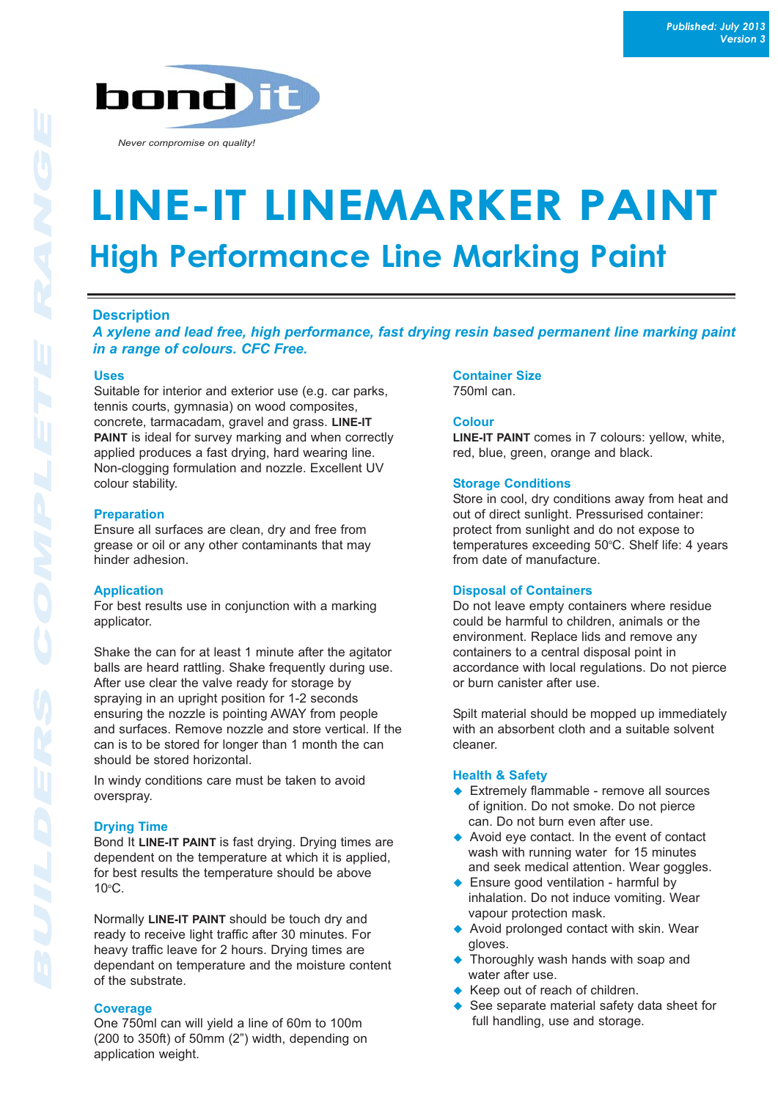

*Never compromise on quality!*

# **LINE-IT LINEMARKER PAINT High Performance Line Marking Paint High Performance Line Marking Paint**

# **Description**

*A xylene and lead free, high performance, fast drying resin based permanent line marking paint in a range of colours. CFC Free.*

## **Uses**

Suitable for interior and exterior use (e.g. car parks, tennis courts, gymnasia) on wood composites, concrete, tarmacadam, gravel and grass. **LINE-IT PAINT** is ideal for survey marking and when correctly applied produces a fast drying, hard wearing line. Non-clogging formulation and nozzle. Excellent UV colour stability.

## **Preparation**

Ensure all surfaces are clean, dry and free from grease or oil or any other contaminants that may hinder adhesion.

## **Application**

For best results use in conjunction with a marking applicator.

Shake the can for at least 1 minute after the agitator balls are heard rattling. Shake frequently during use. After use clear the valve ready for storage by spraying in an upright position for 1-2 seconds ensuring the nozzle is pointing AWAY from people and surfaces. Remove nozzle and store vertical. If the can is to be stored for longer than 1 month the can should be stored horizontal.

In windy conditions care must be taken to avoid overspray.

# **Drying Time**

Bond It **LINE-IT PAINT** is fast drying. Drying times are dependent on the temperature at which it is applied, for best results the temperature should be above  $10^{\circ}$ C.

Normally **LINE-IT PAINT** should be touch dry and ready to receive light traffic after 30 minutes. For heavy traffic leave for 2 hours. Drying times are dependant on temperature and the moisture content of the substrate.

## **Coverage**

One 750ml can will yield a line of 60m to 100m (200 to 350ft) of 50mm (2") width, depending on application weight.

# **Container Size**

750ml can.

# **Colour**

**LINE-IT PAINT** comes in 7 colours: yellow, white, red, blue, green, orange and black.

## **Storage Conditions**

Store in cool, dry conditions away from heat and out of direct sunlight. Pressurised container: protect from sunlight and do not expose to temperatures exceeding 50°C. Shelf life: 4 years from date of manufacture.

## **Disposal of Containers**

Do not leave empty containers where residue could be harmful to children, animals or the environment. Replace lids and remove any containers to a central disposal point in accordance with local regulations. Do not pierce or burn canister after use.

Spilt material should be mopped up immediately with an absorbent cloth and a suitable solvent cleaner.

## **Health & Safety**

- $\triangle$  Extremely flammable remove all sources of ignition. Do not smoke. Do not pierce can. Do not burn even after use.
- $\leftrightarrow$  Avoid eye contact. In the event of contact wash with running water for 15 minutes and seek medical attention. Wear goggles.
- $\triangle$  Ensure good ventilation harmful by inhalation. Do not induce vomiting. Wear vapour protection mask.
- $\triangle$  Avoid prolonged contact with skin. Wear gloves.
- Thoroughly wash hands with soap and water after use.
- $\triangle$  Keep out of reach of children.
- See separate material safety data sheet for full handling, use and storage.